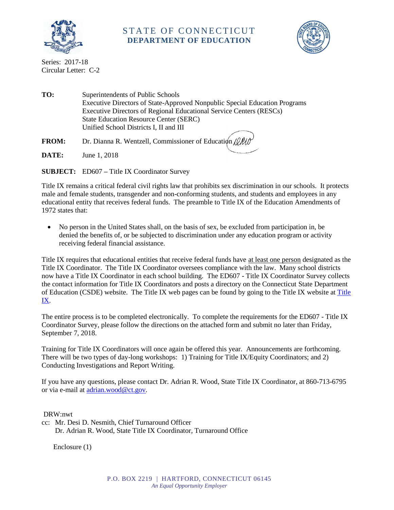

## STATE OF CONNECTICUT **DEPARTMENT OF EDUCATION**



Series: 2017-18 Circular Letter: C-2

**TO:** Superintendents of Public Schools Executive Directors of State-Approved Nonpublic Special Education Programs Executive Directors of Regional Educational Service Centers (RESCs) State Education Resource Center (SERC) Unified School Districts I, II and III **FROM:** Dr. Dianna R. Wentzell, Commissioner of Education  $\psi$ 

**DATE:** June 1, 2018

**SUBJECT:** ED607 **–** Title IX Coordinator Survey

Title IX remains a critical federal civil rights law that prohibits sex discrimination in our schools. It protects male and female students, transgender and non-conforming students, and students and employees in any educational entity that receives federal funds. The preamble to Title IX of the Education Amendments of 1972 states that:

 No person in the United States shall, on the basis of sex, be excluded from participation in, be denied the benefits of, or be subjected to discrimination under any education program or activity receiving federal financial assistance.

Title IX requires that educational entities that receive federal funds have at least one person designated as the Title IX Coordinator. The Title IX Coordinator oversees compliance with the law. Many school districts now have a Title IX Coordinator in each school building. The ED607 - Title IX Coordinator Survey collects the contact information for Title IX Coordinators and posts a directory on the Connecticut State Department of Education (CSDE) website. The Title IX web pages can be found by going to the Title IX website at [Title](http://www.sde.ct.gov/sde/cwp/view.asp?a=2681&q=320472)  [IX.](http://www.sde.ct.gov/sde/cwp/view.asp?a=2681&q=320472)

The entire process is to be completed electronically. To complete the requirements for the ED607 - Title IX Coordinator Survey, please follow the directions on the attached form and submit no later than Friday, September 7, 2018.

Training for Title IX Coordinators will once again be offered this year. Announcements are forthcoming. There will be two types of day-long workshops: 1) Training for Title IX/Equity Coordinators; and 2) Conducting Investigations and Report Writing.

If you have any questions, please contact Dr. Adrian R. Wood, State Title IX Coordinator, at 860-713-6795 or via e-mail at [adrian.wood@ct.gov.](mailto:adrian.wood@ct.gov)

DRW:nwt

cc: Mr. Desi D. Nesmith, Chief Turnaround Officer Dr. Adrian R. Wood, State Title IX Coordinator, Turnaround Office

Enclosure (1)